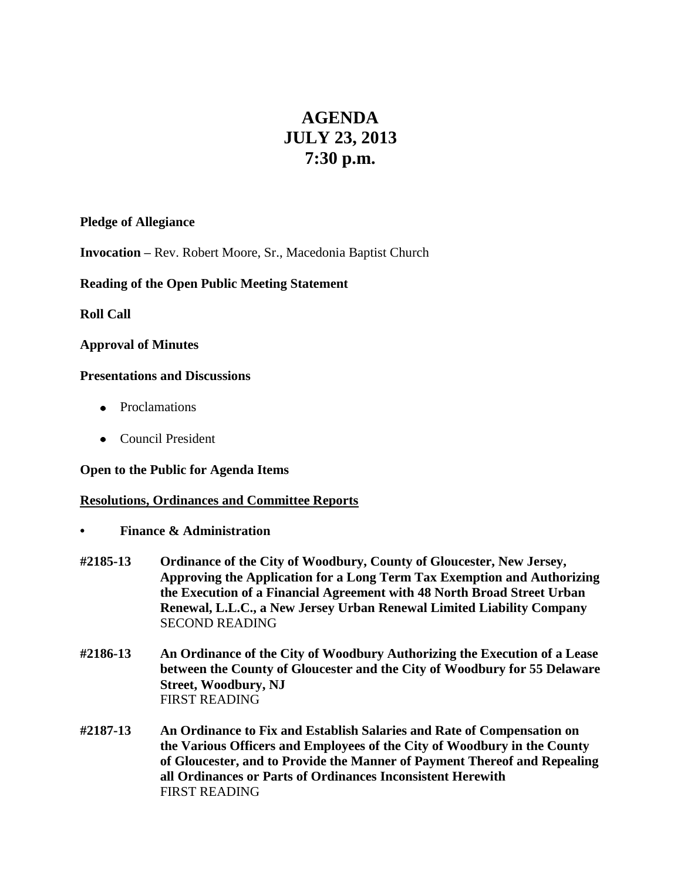# **AGENDA JULY 23, 2013 7:30 p.m.**

## **Pledge of Allegiance**

**Invocation –** Rev. Robert Moore, Sr., Macedonia Baptist Church

## **Reading of the Open Public Meeting Statement**

## **Roll Call**

## **Approval of Minutes**

#### **Presentations and Discussions**

- Proclamations
- Council President

#### **Open to the Public for Agenda Items**

#### **Resolutions, Ordinances and Committee Reports**

- **• Finance & Administration**
- **#2185-13 Ordinance of the City of Woodbury, County of Gloucester, New Jersey, Approving the Application for a Long Term Tax Exemption and Authorizing the Execution of a Financial Agreement with 48 North Broad Street Urban Renewal, L.L.C., a New Jersey Urban Renewal Limited Liability Company** SECOND READING
- **#2186-13 An Ordinance of the City of Woodbury Authorizing the Execution of a Lease between the County of Gloucester and the City of Woodbury for 55 Delaware Street, Woodbury, NJ** FIRST READING
- **#2187-13 An Ordinance to Fix and Establish Salaries and Rate of Compensation on the Various Officers and Employees of the City of Woodbury in the County of Gloucester, and to Provide the Manner of Payment Thereof and Repealing all Ordinances or Parts of Ordinances Inconsistent Herewith** FIRST READING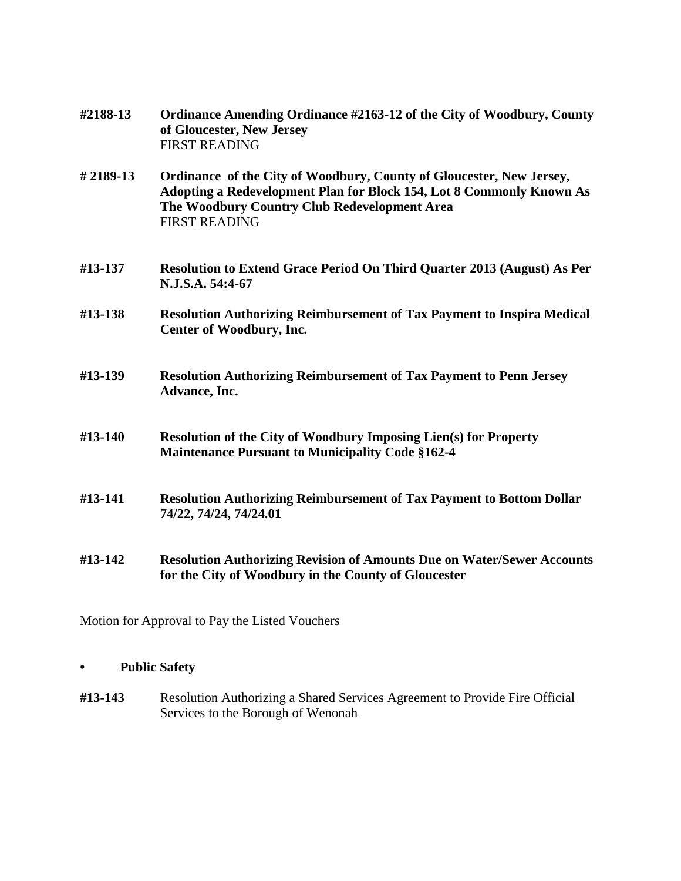| #2188-13 | Ordinance Amending Ordinance #2163-12 of the City of Woodbury, County<br>of Gloucester, New Jersey<br><b>FIRST READING</b>                                                                                           |
|----------|----------------------------------------------------------------------------------------------------------------------------------------------------------------------------------------------------------------------|
| #2189-13 | Ordinance of the City of Woodbury, County of Gloucester, New Jersey,<br>Adopting a Redevelopment Plan for Block 154, Lot 8 Commonly Known As<br>The Woodbury Country Club Redevelopment Area<br><b>FIRST READING</b> |
| #13-137  | Resolution to Extend Grace Period On Third Quarter 2013 (August) As Per<br>N.J.S.A. 54:4-67                                                                                                                          |
| #13-138  | <b>Resolution Authorizing Reimbursement of Tax Payment to Inspira Medical</b><br>Center of Woodbury, Inc.                                                                                                            |
| #13-139  | <b>Resolution Authorizing Reimbursement of Tax Payment to Penn Jersey</b><br>Advance, Inc.                                                                                                                           |
| #13-140  | <b>Resolution of the City of Woodbury Imposing Lien(s) for Property</b><br><b>Maintenance Pursuant to Municipality Code §162-4</b>                                                                                   |
| #13-141  | <b>Resolution Authorizing Reimbursement of Tax Payment to Bottom Dollar</b><br>74/22, 74/24, 74/24.01                                                                                                                |
| #13-142  | <b>Resolution Authorizing Revision of Amounts Due on Water/Sewer Accounts</b><br>for the City of Woodbury in the County of Gloucester                                                                                |

Motion for Approval to Pay the Listed Vouchers

# **• Public Safety**

**#13-143** Resolution Authorizing a Shared Services Agreement to Provide Fire Official Services to the Borough of Wenonah